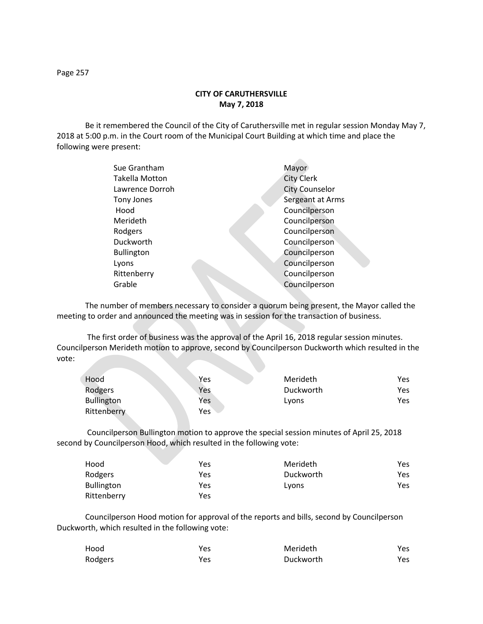## **CITY OF CARUTHERSVILLE May 7, 2018**

Be it remembered the Council of the City of Caruthersville met in regular session Monday May 7, 2018 at 5:00 p.m. in the Court room of the Municipal Court Building at which time and place the following were present:

| Sue Grantham          | Mayor                 |
|-----------------------|-----------------------|
| <b>Takella Motton</b> | <b>City Clerk</b>     |
| Lawrence Dorroh       | <b>City Counselor</b> |
| Tony Jones            | Sergeant at Arms      |
| Hood                  | Councilperson         |
| Merideth              | Councilperson         |
| Rodgers               | Councilperson         |
| Duckworth             | Councilperson         |
| <b>Bullington</b>     | Councilperson         |
| Lyons                 | Councilperson         |
| Rittenberry           | Councilperson         |
| Grable                | Councilperson         |
|                       |                       |

The number of members necessary to consider a quorum being present, the Mayor called the meeting to order and announced the meeting was in session for the transaction of business.

The first order of business was the approval of the April 16, 2018 regular session minutes. Councilperson Merideth motion to approve, second by Councilperson Duckworth which resulted in the vote:

| Hood              | Yes. | Merideth  | Yes |
|-------------------|------|-----------|-----|
| Rodgers           | Yes  | Duckworth | Yes |
| <b>Bullington</b> | Yes  | Lyons     | Yes |
| Rittenberry       | Yes  |           |     |

Councilperson Bullington motion to approve the special session minutes of April 25, 2018 second by Councilperson Hood, which resulted in the following vote:

| Hood              | Yes | Merideth  | Yes |
|-------------------|-----|-----------|-----|
| Rodgers           | Yes | Duckworth | Yes |
| <b>Bullington</b> | Yes | Lyons     | Yes |
| Rittenberry       | Yes |           |     |

Councilperson Hood motion for approval of the reports and bills, second by Councilperson Duckworth, which resulted in the following vote:

| Hood    | Yes | Merideth  | Yes |
|---------|-----|-----------|-----|
| Rodgers | Yes | Duckworth | Yes |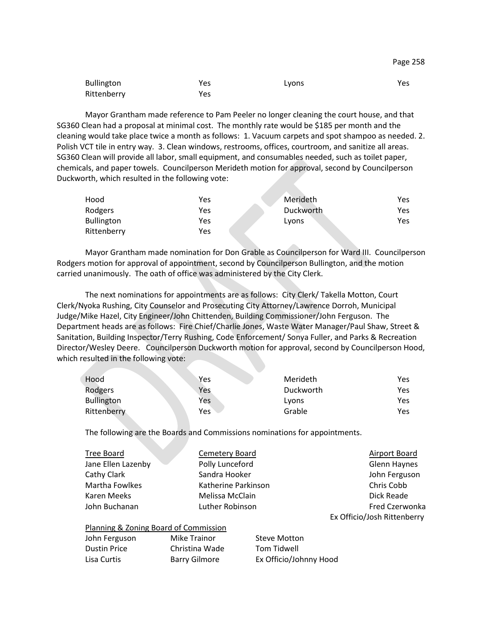| <b>Bullington</b> | Yes | Lyons | Yes |
|-------------------|-----|-------|-----|
| Rittenberry       | Yes |       |     |

Mayor Grantham made reference to Pam Peeler no longer cleaning the court house, and that SG360 Clean had a proposal at minimal cost. The monthly rate would be \$185 per month and the cleaning would take place twice a month as follows: 1. Vacuum carpets and spot shampoo as needed. 2. Polish VCT tile in entry way. 3. Clean windows, restrooms, offices, courtroom, and sanitize all areas. SG360 Clean will provide all labor, small equipment, and consumables needed, such as toilet paper, chemicals, and paper towels. Councilperson Merideth motion for approval, second by Councilperson Duckworth, which resulted in the following vote:

| Hood              | Yes        | Merideth  | Yes |
|-------------------|------------|-----------|-----|
| Rodgers           | Yes        | Duckworth | Yes |
| <b>Bullington</b> | <b>Yes</b> | Lyons     | Yes |
| Rittenberry       | Yes        |           |     |

Mayor Grantham made nomination for Don Grable as Councilperson for Ward III. Councilperson Rodgers motion for approval of appointment, second by Councilperson Bullington, and the motion carried unanimously. The oath of office was administered by the City Clerk.

The next nominations for appointments are as follows: City Clerk/ Takella Motton, Court Clerk/Nyoka Rushing, City Counselor and Prosecuting City Attorney/Lawrence Dorroh, Municipal Judge/Mike Hazel, City Engineer/John Chittenden, Building Commissioner/John Ferguson. The Department heads are as follows: Fire Chief/Charlie Jones, Waste Water Manager/Paul Shaw, Street & Sanitation, Building Inspector/Terry Rushing, Code Enforcement/ Sonya Fuller, and Parks & Recreation Director/Wesley Deere. Councilperson Duckworth motion for approval, second by Councilperson Hood, which resulted in the following vote:

| Hood              | Yes | Merideth  | Yes |
|-------------------|-----|-----------|-----|
| Rodgers           | Yes | Duckworth | Yes |
| <b>Bullington</b> | Yes | Lyons     | Yes |
| Rittenberry       | Yes | Grable    | Yes |

The following are the Boards and Commissions nominations for appointments.

| Tree Board         | Cemetery Board      | Airport Board               |
|--------------------|---------------------|-----------------------------|
| Jane Ellen Lazenby | Polly Lunceford     | Glenn Haynes                |
| Cathy Clark        | Sandra Hooker       | John Ferguson               |
| Martha Fowlkes     | Katherine Parkinson | Chris Cobb                  |
| Karen Meeks        | Melissa McClain     | Dick Reade                  |
| John Buchanan      | Luther Robinson     | Fred Czerwonka              |
|                    |                     | Ex Officio/Josh Rittenberry |

| Planning & Zoning Board of Commission |                |                        |  |  |
|---------------------------------------|----------------|------------------------|--|--|
| John Ferguson                         | Mike Trainor   | <b>Steve Motton</b>    |  |  |
| <b>Dustin Price</b>                   | Christina Wade | Tom Tidwell            |  |  |
| Lisa Curtis                           | Barry Gilmore  | Ex Officio/Johnny Hood |  |  |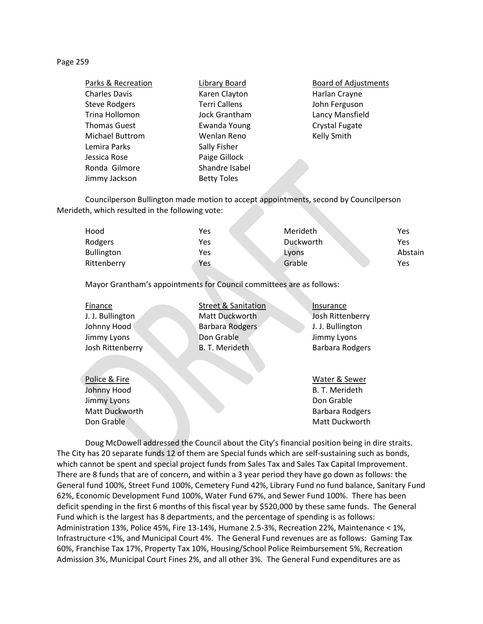## Page 259

| Parks & Recreation     | Library Board        |
|------------------------|----------------------|
| <b>Charles Davis</b>   | Karen Clayton        |
| <b>Steve Rodgers</b>   | <b>Terri Callens</b> |
| Trina Hollomon         | Jock Grantham        |
| <b>Thomas Guest</b>    | <b>Ewanda Young</b>  |
| <b>Michael Buttrom</b> | Wenlan Reno          |
| Lemira Parks           | Sally Fisher         |
| Jessica Rose           | Paige Gillock        |
| Ronda Gilmore          | Shandre Isabel       |
| Jimmy Jackson          | <b>Betty Toles</b>   |

**Board of Adjustments** Harlan Crayne John Ferguson Lancy Mansfield Crystal Fugate Kelly Smith

Councilperson Bullington made motion to accept appointments, second by Councilperson Merideth, which resulted in the following vote:

| Hood              | Yes | Merideth  | Yes     |
|-------------------|-----|-----------|---------|
| Rodgers           | Yes | Duckworth | Yes     |
| <b>Bullington</b> | Yes | Lyons     | Abstain |
| Rittenberry       | Yes | Grable    | Yes     |

Mayor Grantham's appointments for Council committees are as follows:

| Finance          | <b>Street &amp; Sanitation</b> | Insurance              |
|------------------|--------------------------------|------------------------|
| J. J. Bullington | Matt Duckworth                 | Josh Rittenberry       |
| Johnny Hood      | <b>Barbara Rodgers</b>         | J. J. Bullington       |
| Jimmy Lyons      | Don Grable                     | Jimmy Lyons            |
| Josh Rittenberry | <b>B. T. Merideth</b>          | <b>Barbara Rodgers</b> |
|                  |                                |                        |
|                  |                                |                        |
| Police & Fire    |                                | Water & Sewer          |
| Johnny Hood      |                                | B. T. Merideth         |
| Jimmy Lyons      |                                | Don Grable             |

Matt Duckworth **Barbara Rodgers Barbara Rodgers Barbara Rodgers** Don Grable Matt Duckworth Matt Duckworth

Doug McDowell addressed the Council about the City's financial position being in dire straits. The City has 20 separate funds 12 of them are Special funds which are self-sustaining such as bonds, which cannot be spent and special project funds from Sales Tax and Sales Tax Capital Improvement. There are 8 funds that are of concern, and within a 3 year period they have go down as follows: the General fund 100%, Street Fund 100%, Cemetery Fund 42%, Library Fund no fund balance, Sanitary Fund 62%, Economic Development Fund 100%, Water Fund 67%, and Sewer Fund 100%. There has been deficit spending in the first 6 months of this fiscal year by \$520,000 by these same funds. The General Fund which is the largest has 8 departments, and the percentage of spending is as follows: Administration 13%, Police 45%, Fire 13-14%, Humane 2.5-3%, Recreation 22%, Maintenance < 1%, Infrastructure <1%, and Municipal Court 4%. The General Fund revenues are as follows: Gaming Tax 60%, Franchise Tax 17%, Property Tax 10%, Housing/School Police Reimbursement 5%, Recreation Admission 3%, Municipal Court Fines 2%, and all other 3%. The General Fund expenditures are as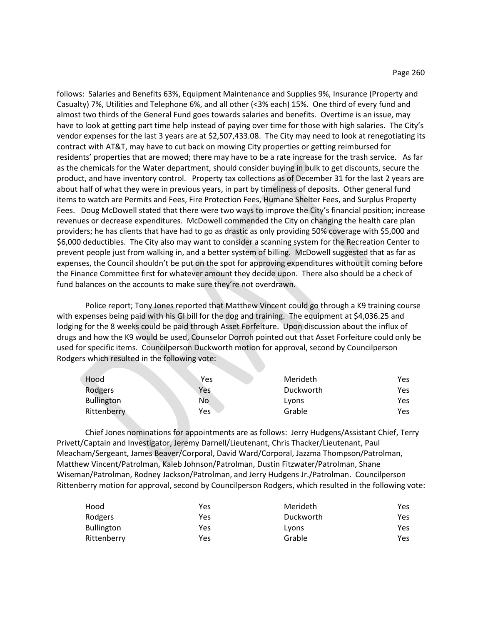follows: Salaries and Benefits 63%, Equipment Maintenance and Supplies 9%, Insurance (Property and Casualty) 7%, Utilities and Telephone 6%, and all other (<3% each) 15%. One third of every fund and almost two thirds of the General Fund goes towards salaries and benefits. Overtime is an issue, may have to look at getting part time help instead of paying over time for those with high salaries. The City's vendor expenses for the last 3 years are at \$2,507,433.08. The City may need to look at renegotiating its contract with AT&T, may have to cut back on mowing City properties or getting reimbursed for residents' properties that are mowed; there may have to be a rate increase for the trash service. As far as the chemicals for the Water department, should consider buying in bulk to get discounts, secure the product, and have inventory control. Property tax collections as of December 31 for the last 2 years are about half of what they were in previous years, in part by timeliness of deposits. Other general fund items to watch are Permits and Fees, Fire Protection Fees, Humane Shelter Fees, and Surplus Property Fees. Doug McDowell stated that there were two ways to improve the City's financial position; increase revenues or decrease expenditures. McDowell commended the City on changing the health care plan providers; he has clients that have had to go as drastic as only providing 50% coverage with \$5,000 and \$6,000 deductibles. The City also may want to consider a scanning system for the Recreation Center to prevent people just from walking in, and a better system of billing. McDowell suggested that as far as expenses, the Council shouldn't be put on the spot for approving expenditures without it coming before the Finance Committee first for whatever amount they decide upon. There also should be a check of fund balances on the accounts to make sure they're not overdrawn.

Police report; Tony Jones reported that Matthew Vincent could go through a K9 training course with expenses being paid with his GI bill for the dog and training. The equipment at \$4,036.25 and lodging for the 8 weeks could be paid through Asset Forfeiture. Upon discussion about the influx of drugs and how the K9 would be used, Counselor Dorroh pointed out that Asset Forfeiture could only be used for specific items. Councilperson Duckworth motion for approval, second by Councilperson Rodgers which resulted in the following vote:

| Hood              | Yes | Merideth  | Yes |
|-------------------|-----|-----------|-----|
| Rodgers           | Yes | Duckworth | Yes |
| <b>Bullington</b> | No  | Lyons     | Yes |
| Rittenberry       | Yes | Grable    | Yes |

Chief Jones nominations for appointments are as follows: Jerry Hudgens/Assistant Chief, Terry Privett/Captain and Investigator, Jeremy Darnell/Lieutenant, Chris Thacker/Lieutenant, Paul Meacham/Sergeant, James Beaver/Corporal, David Ward/Corporal, Jazzma Thompson/Patrolman, Matthew Vincent/Patrolman, Kaleb Johnson/Patrolman, Dustin Fitzwater/Patrolman, Shane Wiseman/Patrolman, Rodney Jackson/Patrolman, and Jerry Hudgens Jr./Patrolman. Councilperson Rittenberry motion for approval, second by Councilperson Rodgers, which resulted in the following vote:

| Hood              | Yes | Merideth  | Yes |
|-------------------|-----|-----------|-----|
| Rodgers           | Yes | Duckworth | Yes |
| <b>Bullington</b> | Yes | Lyons     | Yes |
| Rittenberry       | Yes | Grable    | Yes |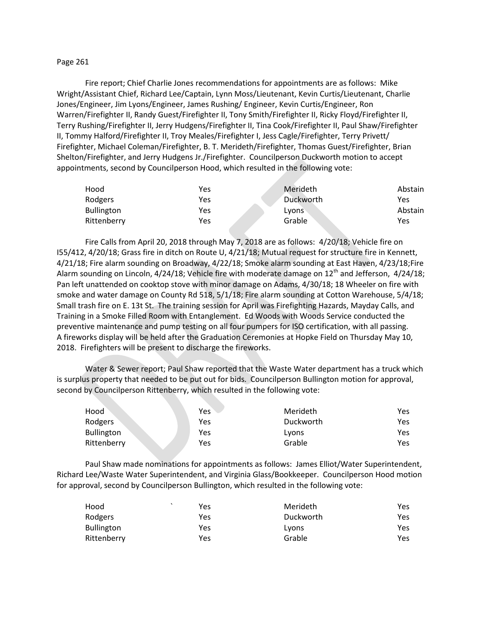## Page 261

Fire report; Chief Charlie Jones recommendations for appointments are as follows: Mike Wright/Assistant Chief, Richard Lee/Captain, Lynn Moss/Lieutenant, Kevin Curtis/Lieutenant, Charlie Jones/Engineer, Jim Lyons/Engineer, James Rushing/ Engineer, Kevin Curtis/Engineer, Ron Warren/Firefighter II, Randy Guest/Firefighter II, Tony Smith/Firefighter II, Ricky Floyd/Firefighter II, Terry Rushing/Firefighter II, Jerry Hudgens/Firefighter II, Tina Cook/Firefighter II, Paul Shaw/Firefighter II, Tommy Halford/Firefighter II, Troy Meales/Firefighter I, Jess Cagle/Firefighter, Terry Privett/ Firefighter, Michael Coleman/Firefighter, B. T. Merideth/Firefighter, Thomas Guest/Firefighter, Brian Shelton/Firefighter, and Jerry Hudgens Jr./Firefighter. Councilperson Duckworth motion to accept appointments, second by Councilperson Hood, which resulted in the following vote:

| Hood              | Yes | Merideth  | Abstain |
|-------------------|-----|-----------|---------|
| Rodgers           | Yes | Duckworth | Yes     |
| <b>Bullington</b> | Yes | Lyons     | Abstain |
| Rittenberry       | Yes | Grable    | Yes     |

Fire Calls from April 20, 2018 through May 7, 2018 are as follows: 4/20/18; Vehicle fire on I55/412, 4/20/18; Grass fire in ditch on Route U, 4/21/18; Mutual request for structure fire in Kennett, 4/21/18; Fire alarm sounding on Broadway, 4/22/18; Smoke alarm sounding at East Haven, 4/23/18;Fire Alarm sounding on Lincoln,  $4/24/18$ ; Vehicle fire with moderate damage on  $12<sup>th</sup>$  and Jefferson,  $4/24/18$ ; Pan left unattended on cooktop stove with minor damage on Adams, 4/30/18; 18 Wheeler on fire with smoke and water damage on County Rd 518, 5/1/18; Fire alarm sounding at Cotton Warehouse, 5/4/18; Small trash fire on E. 13t St. The training session for April was Firefighting Hazards, Mayday Calls, and Training in a Smoke Filled Room with Entanglement. Ed Woods with Woods Service conducted the preventive maintenance and pump testing on all four pumpers for ISO certification, with all passing. A fireworks display will be held after the Graduation Ceremonies at Hopke Field on Thursday May 10, 2018. Firefighters will be present to discharge the fireworks.

Water & Sewer report; Paul Shaw reported that the Waste Water department has a truck which is surplus property that needed to be put out for bids. Councilperson Bullington motion for approval, second by Councilperson Rittenberry, which resulted in the following vote:

| Hood        | Yes | Merideth  | Yes |
|-------------|-----|-----------|-----|
| Rodgers     | Yes | Duckworth | Yes |
| Bullington  | Yes | Lyons     | Yes |
| Rittenberry | Yes | Grable    | Yes |

Paul Shaw made nominations for appointments as follows: James Elliot/Water Superintendent, Richard Lee/Waste Water Superintendent, and Virginia Glass/Bookkeeper. Councilperson Hood motion for approval, second by Councilperson Bullington, which resulted in the following vote:

| Hood              | Yes | Merideth  | Yes |
|-------------------|-----|-----------|-----|
| Rodgers           | Yes | Duckworth | Yes |
| <b>Bullington</b> | Yes | Lyons     | Yes |
| Rittenberry       | Yes | Grable    | Yes |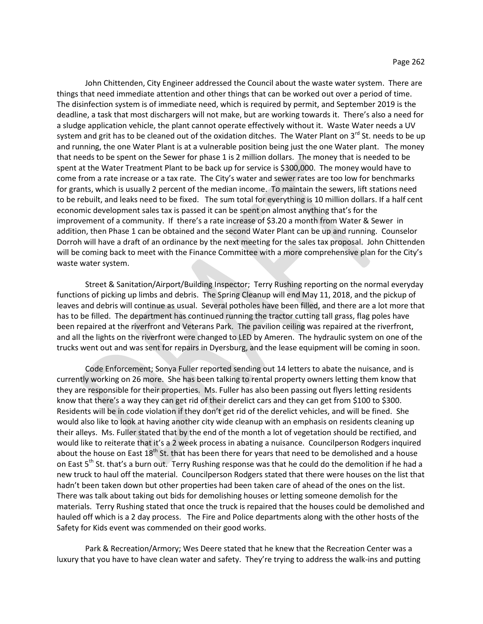John Chittenden, City Engineer addressed the Council about the waste water system. There are things that need immediate attention and other things that can be worked out over a period of time. The disinfection system is of immediate need, which is required by permit, and September 2019 is the deadline, a task that most dischargers will not make, but are working towards it. There's also a need for a sludge application vehicle, the plant cannot operate effectively without it. Waste Water needs a UV system and grit has to be cleaned out of the oxidation ditches. The Water Plant on 3<sup>rd</sup> St. needs to be up and running, the one Water Plant is at a vulnerable position being just the one Water plant. The money that needs to be spent on the Sewer for phase 1 is 2 million dollars. The money that is needed to be spent at the Water Treatment Plant to be back up for service is \$300,000. The money would have to come from a rate increase or a tax rate. The City's water and sewer rates are too low for benchmarks for grants, which is usually 2 percent of the median income. To maintain the sewers, lift stations need to be rebuilt, and leaks need to be fixed. The sum total for everything is 10 million dollars. If a half cent economic development sales tax is passed it can be spent on almost anything that's for the improvement of a community. If there's a rate increase of \$3.20 a month from Water & Sewer in addition, then Phase 1 can be obtained and the second Water Plant can be up and running. Counselor Dorroh will have a draft of an ordinance by the next meeting for the sales tax proposal. John Chittenden will be coming back to meet with the Finance Committee with a more comprehensive plan for the City's waste water system.

Street & Sanitation/Airport/Building Inspector; Terry Rushing reporting on the normal everyday functions of picking up limbs and debris. The Spring Cleanup will end May 11, 2018, and the pickup of leaves and debris will continue as usual. Several potholes have been filled, and there are a lot more that has to be filled. The department has continued running the tractor cutting tall grass, flag poles have been repaired at the riverfront and Veterans Park. The pavilion ceiling was repaired at the riverfront, and all the lights on the riverfront were changed to LED by Ameren. The hydraulic system on one of the trucks went out and was sent for repairs in Dyersburg, and the lease equipment will be coming in soon.

Code Enforcement; Sonya Fuller reported sending out 14 letters to abate the nuisance, and is currently working on 26 more. She has been talking to rental property owners letting them know that they are responsible for their properties. Ms. Fuller has also been passing out flyers letting residents know that there's a way they can get rid of their derelict cars and they can get from \$100 to \$300. Residents will be in code violation if they don't get rid of the derelict vehicles, and will be fined. She would also like to look at having another city wide cleanup with an emphasis on residents cleaning up their alleys. Ms. Fuller stated that by the end of the month a lot of vegetation should be rectified, and would like to reiterate that it's a 2 week process in abating a nuisance. Councilperson Rodgers inquired about the house on East  $18^{th}$  St. that has been there for years that need to be demolished and a house on East 5<sup>th</sup> St. that's a burn out. Terry Rushing response was that he could do the demolition if he had a new truck to haul off the material. Councilperson Rodgers stated that there were houses on the list that hadn't been taken down but other properties had been taken care of ahead of the ones on the list. There was talk about taking out bids for demolishing houses or letting someone demolish for the materials. Terry Rushing stated that once the truck is repaired that the houses could be demolished and hauled off which is a 2 day process. The Fire and Police departments along with the other hosts of the Safety for Kids event was commended on their good works.

Park & Recreation/Armory; Wes Deere stated that he knew that the Recreation Center was a luxury that you have to have clean water and safety. They're trying to address the walk-ins and putting